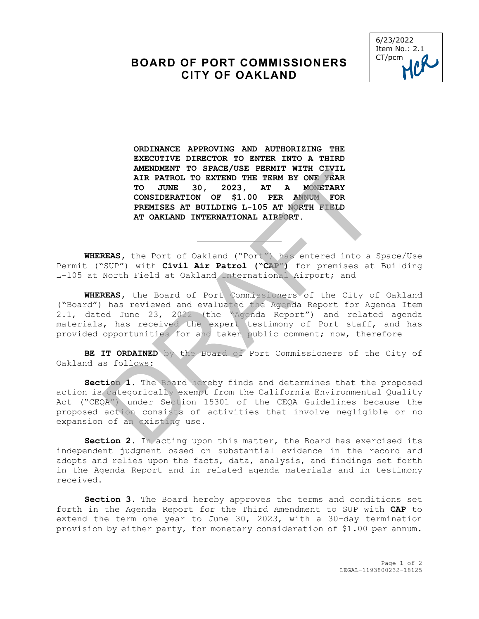## **BOARD OF PORT COMMISSIONERS CITY OF OAKLAND**



**ORDINANCE APPROVING AND AUTHORIZING THE EXECUTIVE DIRECTOR TO ENTER INTO A THIRD AMENDMENT TO SPACE/USE PERMIT WITH CIVIL AIR PATROL TO EXTEND THE TERM BY ONE YEAR TO JUNE 30, 2023, AT A MONETARY CONSIDERATION OF \$1.00 PER ANNUM FOR PREMISES AT BUILDING L-105 AT NORTH FIELD AT OAKLAND INTERNATIONAL AIRPORT.** 

**WHEREAS,** the Port of Oakland ("Port") has entered into a Space/Use Permit ("SUP") with **Civil Air Patrol ("CAP")** for premises at Building L-105 at North Field at Oakland International Airport; and

 $\overline{a}$ 

**WHEREAS,** the Board of Port Commissioners of the City of Oakland ("Board") has reviewed and evaluated the Agenda Report for Agenda Item 2.1, dated June 23, 2022 (the "Agenda Report") and related agenda materials, has received the expert testimony of Port staff, and has provided opportunities for and taken public comment; now, therefore AMEADMENT TO SATISFY AND THE TERM BY ONE VERA TRIR PATROL TO EXTEND THE TERM BY ONE VERA TO JUNE 30, 2023, AT A MONETARY CONSIDERATION OF \$1.00 PER ANNUM FOR PREMISES AT BUILDING L-105 AT NORTH FELD AT OAKLAND INTERNATIONA

**BE IT ORDAINED** by the Board of Port Commissioners of the City of Oakland as follows:

**Section 1.** The Board hereby finds and determines that the proposed action is categorically exempt from the California Environmental Quality Act ("CEQA") under Section 15301 of the CEQA Guidelines because the proposed action consists of activities that involve negligible or no expansion of an existing use.

**Section 2.** In acting upon this matter, the Board has exercised its independent judgment based on substantial evidence in the record and adopts and relies upon the facts, data, analysis, and findings set forth in the Agenda Report and in related agenda materials and in testimony received.

**Section 3.** The Board hereby approves the terms and conditions set forth in the Agenda Report for the Third Amendment to SUP with **CAP** to extend the term one year to June 30, 2023, with a 30-day termination provision by either party, for monetary consideration of \$1.00 per annum.